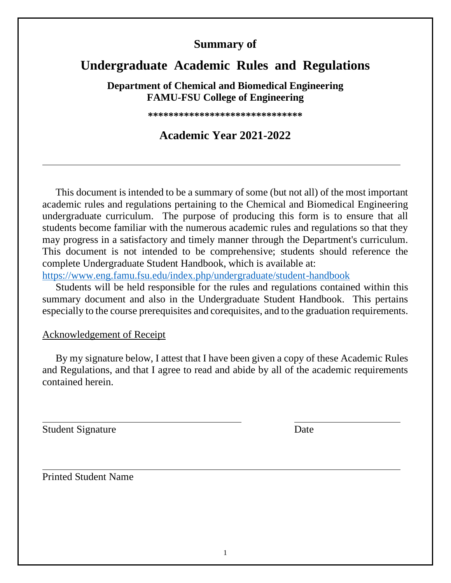## **Summary of**

# **Undergraduate Academic Rules and Regulations**

**Department of Chemical and Biomedical Engineering FAMU-FSU College of Engineering**

**\*\*\*\*\*\*\*\*\*\*\*\*\*\*\*\*\*\*\*\*\*\*\*\*\*\*\*\*\*\***

## **Academic Year 2021-2022**

This document is intended to be a summary of some (but not all) of the most important academic rules and regulations pertaining to the Chemical and Biomedical Engineering undergraduate curriculum. The purpose of producing this form is to ensure that all students become familiar with the numerous academic rules and regulations so that they may progress in a satisfactory and timely manner through the Department's curriculum. This document is not intended to be comprehensive; students should reference the complete Undergraduate Student Handbook, which is available at:

<https://www.eng.famu.fsu.edu/index.php/undergraduate/student-handbook>

Students will be held responsible for the rules and regulations contained within this summary document and also in the Undergraduate Student Handbook. This pertains especially to the course prerequisites and corequisites, and to the graduation requirements.

### Acknowledgement of Receipt

By my signature below, I attest that I have been given a copy of these Academic Rules and Regulations, and that I agree to read and abide by all of the academic requirements contained herein.

Student Signature Date

Printed Student Name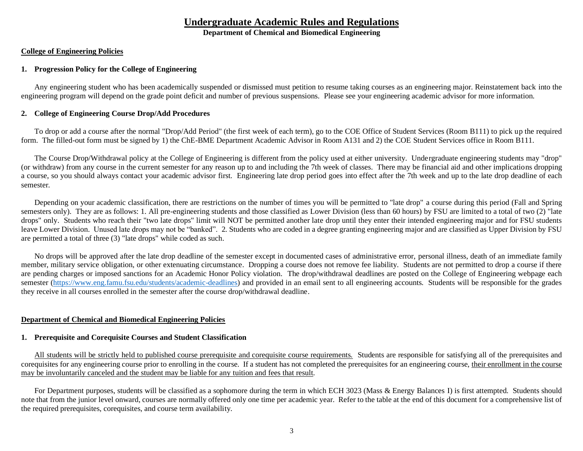### **Undergraduate Academic Rules and Regulations**

**Department of Chemical and Biomedical Engineering**

#### **College of Engineering Policies**

#### **1. Progression Policy for the College of Engineering**

Any engineering student who has been academically suspended or dismissed must petition to resume taking courses as an engineering major. Reinstatement back into the engineering program will depend on the grade point deficit and number of previous suspensions. Please see your engineering academic advisor for more information.

#### **2. College of Engineering Course Drop/Add Procedures**

To drop or add a course after the normal "Drop/Add Period" (the first week of each term), go to the COE Office of Student Services (Room B111) to pick up the required form. The filled-out form must be signed by 1) the ChE-BME Department Academic Advisor in Room A131 and 2) the COE Student Services office in Room B111.

The Course Drop/Withdrawal policy at the College of Engineering is different from the policy used at either university. Undergraduate engineering students may "drop" (or withdraw) from any course in the current semester for any reason up to and including the 7th week of classes. There may be financial aid and other implications dropping a course, so you should always contact your academic advisor first. Engineering late drop period goes into effect after the 7th week and up to the late drop deadline of each semester.

Depending on your academic classification, there are restrictions on the number of times you will be permitted to "late drop" a course during this period (Fall and Spring semesters only). They are as follows: 1. All pre-engineering students and those classified as Lower Division (less than 60 hours) by FSU are limited to a total of two (2) "late drops" only. Students who reach their "two late drops" limit will NOT be permitted another late drop until they enter their intended engineering major and for FSU students leave Lower Division. Unused late drops may not be "banked". 2. Students who are coded in a degree granting engineering major and are classified as Upper Division by FSU are permitted a total of three (3) "late drops" while coded as such.

No drops will be approved after the late drop deadline of the semester except in documented cases of administrative error, personal illness, death of an immediate family member, military service obligation, or other extenuating circumstance. Dropping a course does not remove fee liability. Students are not permitted to drop a course if there are pending charges or imposed sanctions for an Academic Honor Policy violation. The drop/withdrawal deadlines are posted on the College of Engineering webpage each semester [\(https://www.eng.famu.fsu.edu/students/academic-deadlines\)](https://www.eng.famu.fsu.edu/students/academic-deadlines) and provided in an email sent to all engineering accounts. Students will be responsible for the grades they receive in all courses enrolled in the semester after the course drop/withdrawal deadline.

#### **Department of Chemical and Biomedical Engineering Policies**

#### **1. Prerequisite and Corequisite Courses and Student Classification**

All students will be strictly held to published course prerequisite and corequisite course requirements. Students are responsible for satisfying all of the prerequisites and corequisites for any engineering course prior to enrolling in the course. If a student has not completed the prerequisites for an engineering course, their enrollment in the course may be involuntarily canceled and the student may be liable for any tuition and fees that result.

For Department purposes, students will be classified as a sophomore during the term in which ECH 3023 (Mass & Energy Balances I) is first attempted. Students should note that from the junior level onward, courses are normally offered only one time per academic year. Refer to the table at the end of this document for a comprehensive list of the required prerequisites, corequisites, and course term availability.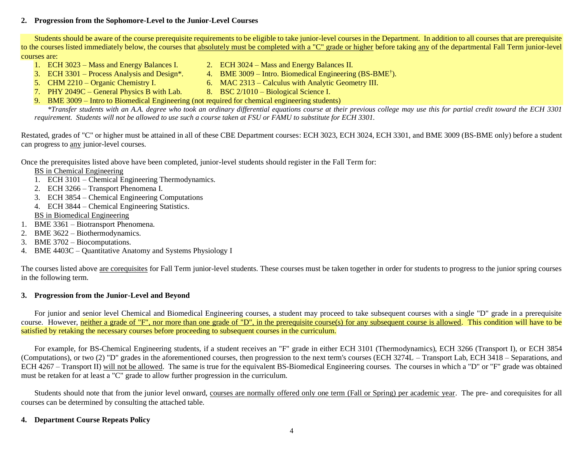#### **2. Progression from the Sophomore-Level to the Junior-Level Courses**

Students should be aware of the course prerequisite requirements to be eligible to take junior-level courses in the Department. In addition to all courses that are prerequisite to the courses listed immediately below, the courses that absolutely must be completed with a "C" grade or higher before taking any of the departmental Fall Term junior-level courses are:<br>1. ECH 3023 – Mass and Energy Balances I.

- 
- 3. ECH 3301 Process Analysis and Design\*. 4. BME 3009 Intro. Biomedical Engineering (BS-BME<sup>†</sup>).
- 1. ECH 3023 Mass and Energy Balances I. 2. ECH 3024 Mass and Energy Balances II.
	-
- 5. CHM 2210 Organic Chemistry I. 6. MAC 2313 Calculus with Analytic Geometry III.
- 7. PHY 2049C General Physics B with Lab. 8. BSC 2/1010 Biological Science I.
- 9. BME 3009 Intro to Biomedical Engineering (not required for chemical engineering students)

*\*Transfer students with an A.A. degree who took an ordinary differential equations course at their previous college may use this for partial credit toward the ECH 3301 requirement. Students will not be allowed to use such a course taken at FSU or FAMU to substitute for ECH 3301.*

Restated, grades of "C" or higher must be attained in all of these CBE Department courses: ECH 3023, ECH 3024, ECH 3301, and BME 3009 (BS-BME only) before a student can progress to any junior-level courses.

Once the prerequisites listed above have been completed, junior-level students should register in the Fall Term for:

BS in Chemical Engineering

- 1. ECH 3101 Chemical Engineering Thermodynamics.
- 2. ECH 3266 Transport Phenomena I.
- 3. ECH 3854 Chemical Engineering Computations
- 4. ECH 3844 Chemical Engineering Statistics.
- BS in Biomedical Engineering
- 1. BME 3361 Biotransport Phenomena.
- 2. BME 3622 Biothermodynamics.
- 3. BME 3702 Biocomputations.
- 4. BME 4403C Quantitative Anatomy and Systems Physiology I

The courses listed above are corequisites for Fall Term junior-level students. These courses must be taken together in order for students to progress to the junior spring courses in the following term.

#### **3. Progression from the Junior-Level and Beyond**

For junior and senior level Chemical and Biomedical Engineering courses, a student may proceed to take subsequent courses with a single "D" grade in a prerequisite course. However, neither a grade of "F", nor more than one grade of "D", in the prerequisite course(s) for any subsequent course is allowed. This condition will have to be satisfied by retaking the necessary courses before proceeding to subsequent courses in the curriculum.

For example, for BS-Chemical Engineering students, if a student receives an "F" grade in either ECH 3101 (Thermodynamics), ECH 3266 (Transport I), or ECH 3854 (Computations), or two (2) "D" grades in the aforementioned courses, then progression to the next term's courses (ECH 3274L – Transport Lab, ECH 3418 – Separations, and ECH 4267 – Transport II) will not be allowed. The same is true for the equivalent BS-Biomedical Engineering courses. The courses in which a "D" or "F" grade was obtained must be retaken for at least a "C" grade to allow further progression in the curriculum.

Students should note that from the junior level onward, courses are normally offered only one term (Fall or Spring) per academic year. The pre- and corequisites for all courses can be determined by consulting the attached table.

#### **4. Department Course Repeats Policy**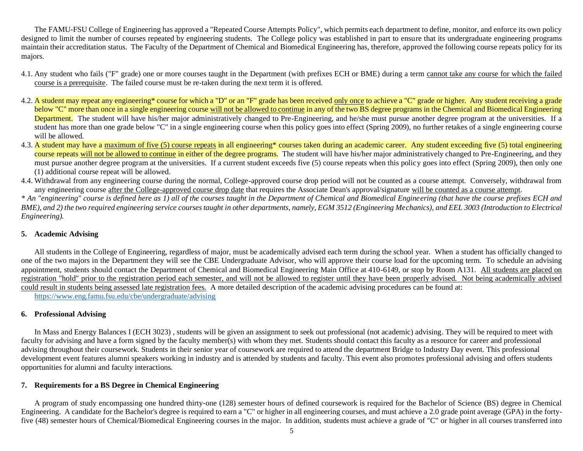The FAMU-FSU College of Engineering has approved a "Repeated Course Attempts Policy", which permits each department to define, monitor, and enforce its own policy designed to limit the number of courses repeated by engineering students. The College policy was established in part to ensure that its undergraduate engineering programs maintain their accreditation status. The Faculty of the Department of Chemical and Biomedical Engineering has, therefore, approved the following course repeats policy for its majors.

- 4.1. Any student who fails ("F" grade) one or more courses taught in the Department (with prefixes ECH or BME) during a term cannot take any course for which the failed course is a prerequisite. The failed course must be re-taken during the next term it is offered.
- 4.2. A student may repeat any engineering\* course for which a "D" or an "F" grade has been received only once to achieve a "C" grade or higher. Any student receiving a grade below "C" more than once in a single engineering course will not be allowed to continue in any of the two BS degree programs in the Chemical and Biomedical Engineering Department. The student will have his/her major administratively changed to Pre-Engineering, and he/she must pursue another degree program at the universities. If a student has more than one grade below "C" in a single engineering course when this policy goes into effect (Spring 2009), no further retakes of a single engineering course will be allowed.
- 4.3. A student may have a maximum of five (5) course repeats in all engineering\* courses taken during an academic career. Any student exceeding five (5) total engineering course repeats will not be allowed to continue in either of the degree programs. The student will have his/her major administratively changed to Pre-Engineering, and they must pursue another degree program at the universities. If a current student exceeds five (5) course repeats when this policy goes into effect (Spring 2009), then only one (1) additional course repeat will be allowed.
- 4.4. Withdrawal from any engineering course during the normal, College-approved course drop period will not be counted as a course attempt. Conversely, withdrawal from any engineering course after the College-approved course drop date that requires the Associate Dean's approval/signature will be counted as a course attempt.

*\* An "engineering" course is defined here as 1) all of the courses taught in the Department of Chemical and Biomedical Engineering (that have the course prefixes ECH and BME), and 2) the two required engineering service courses taught in other departments, namely, EGM 3512 (Engineering Mechanics), and EEL 3003 (Introduction to Electrical Engineering).*

#### **5. Academic Advising**

All students in the College of Engineering, regardless of major, must be academically advised each term during the school year. When a student has officially changed to one of the two majors in the Department they will see the CBE Undergraduate Advisor, who will approve their course load for the upcoming term. To schedule an advising appointment, students should contact the Department of Chemical and Biomedical Engineering Main Office at 410-6149, or stop by Room A131. All students are placed on registration "hold" prior to the registration period each semester, and will not be allowed to register until they have been properly advised. Not being academically advised could result in students being assessed late registration fees. A more detailed description of the academic advising procedures can be found at: <https://www.eng.famu.fsu.edu/cbe/undergraduate/advising>

#### **6. Professional Advising**

In Mass and Energy Balances I (ECH 3023), students will be given an assignment to seek out professional (not academic) advising. They will be required to meet with faculty for advising and have a form signed by the faculty member(s) with whom they met. Students should contact this faculty as a resource for career and professional advising throughout their coursework. Students in their senior year of coursework are required to attend the department Bridge to Industry Day event. This professional development event features alumni speakers working in industry and is attended by students and faculty. This event also promotes professional advising and offers students opportunities for alumni and faculty interactions.

#### **7. Requirements for a BS Degree in Chemical Engineering**

A program of study encompassing one hundred thirty-one (128) semester hours of defined coursework is required for the Bachelor of Science (BS) degree in Chemical Engineering. A candidate for the Bachelor's degree is required to earn a "C" or higher in all engineering courses, and must achieve a 2.0 grade point average (GPA) in the fortyfive (48) semester hours of Chemical/Biomedical Engineering courses in the major. In addition, students must achieve a grade of "C" or higher in all courses transferred into